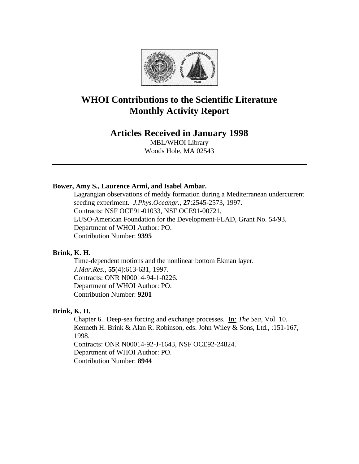

# **WHOI Contributions to the Scientific Literature Monthly Activity Report**

# **Articles Received in January 1998**

MBL/WHOI Library Woods Hole, MA 02543

#### **Bower, Amy S., Laurence Armi, and Isabel Ambar.**

Lagrangian observations of meddy formation during a Mediterranean undercurrent seeding experiment. *J.Phys.Oceangr.*, **27**:2545-2573, 1997. Contracts: NSF OCE91-01033, NSF OCE91-00721, LUSO-American Foundation for the Development-FLAD, Grant No. 54/93. Department of WHOI Author: PO. Contribution Number: **9395**

### **Brink, K. H.**

Time-dependent motions and the nonlinear bottom Ekman layer. *J.Mar.Res.*, **55**(4):613-631, 1997. Contracts: ONR N00014-94-1-0226. Department of WHOI Author: PO. Contribution Number: **9201**

#### **Brink, K. H.**

Chapter 6. Deep-sea forcing and exchange processes. In*: The Sea,* Vol. 10. Kenneth H. Brink & Alan R. Robinson, eds. John Wiley & Sons, Ltd., :151-167, 1998. Contracts: ONR N00014-92-J-1643, NSF OCE92-24824. Department of WHOI Author: PO. Contribution Number: **8944**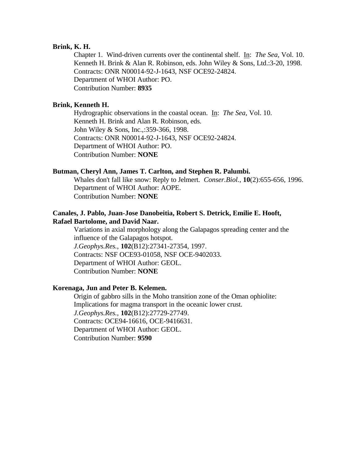#### **Brink, K. H.**

Chapter 1. Wind-driven currents over the continental shelf. In: *The Sea,* Vol. 10. Kenneth H. Brink & Alan R. Robinson, eds. John Wiley & Sons, Ltd.:3-20, 1998. Contracts: ONR N00014-92-J-1643, NSF OCE92-24824. Department of WHOI Author: PO. Contribution Number: **8935**

## **Brink, Kenneth H.**

Hydrographic observations in the coastal ocean. In: *The Sea,* Vol. 10. Kenneth H. Brink and Alan R. Robinson, eds. John Wiley & Sons, Inc.,:359-366, 1998. Contracts: ONR N00014-92-J-1643, NSF OCE92-24824. Department of WHOI Author: PO. Contribution Number: **NONE**

#### **Butman, Cheryl Ann, James T. Carlton, and Stephen R. Palumbi.**

Whales don't fall like snow: Reply to Jelmert. *Conser.Biol.*, **10**(2):655-656, 1996. Department of WHOI Author: AOPE. Contribution Number: **NONE**

### **Canales, J. Pablo, Juan-Jose Danobeitia, Robert S. Detrick, Emilie E. Hooft, Rafael Bartolome, and David Naar.**

Variations in axial morphology along the Galapagos spreading center and the influence of the Galapagos hotspot. *J.Geophys.Res.*, **102**(B12):27341-27354, 1997. Contracts: NSF OCE93-01058, NSF OCE-9402033. Department of WHOI Author: GEOL. Contribution Number: **NONE**

#### **Korenaga, Jun and Peter B. Kelemen.**

Origin of gabbro sills in the Moho transition zone of the Oman ophiolite: Implications for magma transport in the oceanic lower crust. *J.Geophys.Res.*, **102**(B12):27729-27749. Contracts: OCE94-16616, OCE-9416631. Department of WHOI Author: GEOL. Contribution Number: **9590**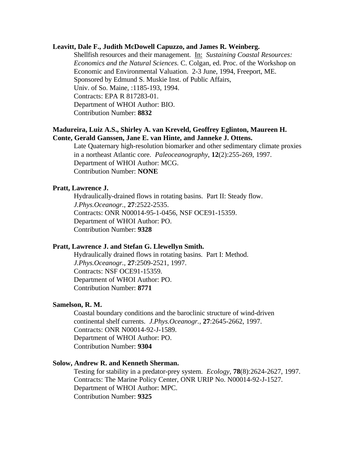### **Leavitt, Dale F., Judith McDowell Capuzzo, and James R. Weinberg.**

Shellfish resources and their management. In: *Sustaining Coastal Resources: Economics and the Natural Sciences.* C. Colgan, ed. Proc. of the Workshop on Economic and Environmental Valuation. 2-3 June, 1994, Freeport, ME. Sponsored by Edmund S. Muskie Inst. of Public Affairs, Univ. of So. Maine, :1185-193, 1994. Contracts: EPA R 817283-01. Department of WHOI Author: BIO. Contribution Number: **8832**

#### **Madureira, Luiz A.S., Shirley A. van Kreveld, Geoffrey Eglinton, Maureen H. Conte, Gerald Ganssen, Jane E. van Hinte, and Janneke J. Ottens.**

Late Quaternary high-resolution biomarker and other sedimentary climate proxies in a northeast Atlantic core. *Paleoceanography*, **12**(2):255-269, 1997. Department of WHOI Author: MCG. Contribution Number: **NONE**

#### **Pratt, Lawrence J.**

Hydraulically-drained flows in rotating basins. Part II: Steady flow. *J.Phys.Oceanogr.*, **27**:2522-2535. Contracts: ONR N00014-95-1-0456, NSF OCE91-15359. Department of WHOI Author: PO. Contribution Number: **9328**

#### **Pratt, Lawrence J. and Stefan G. Llewellyn Smith.**

Hydraulically drained flows in rotating basins. Part I: Method. *J.Phys.Oceanogr.*, **27**:2509-2521, 1997. Contracts: NSF OCE91-15359. Department of WHOI Author: PO. Contribution Number: **8771**

#### **Samelson, R. M.**

Coastal boundary conditions and the baroclinic structure of wind-driven continental shelf currents. *J.Phys.Oceanogr.*, **27**:2645-2662, 1997. Contracts: ONR N00014-92-J-1589. Department of WHOI Author: PO. Contribution Number: **9304**

#### **Solow, Andrew R. and Kenneth Sherman.**

Testing for stability in a predator-prey system. *Ecology*, **78**(8):2624-2627, 1997. Contracts: The Marine Policy Center, ONR URIP No. N00014-92-J-1527. Department of WHOI Author: MPC. Contribution Number: **9325**